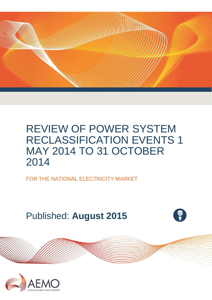

FOR THE NATIONAL ELECTRICITY MARKET

Published: **August 2015**



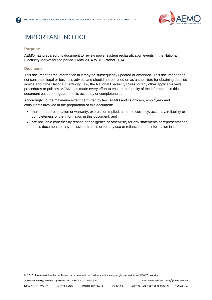

# IMPORTANT NOTICE

#### **Purpose**

AEMO has prepared this document to review power system reclassification events in the National Electricity Market for the period 1 May 2014 to 31 October 2014.

#### **Disclaimer**

This document or the information in it may be subsequently updated or amended. This document does not constitute legal or business advice, and should not be relied on as a substitute for obtaining detailed advice about the National Electricity Law, the National Electricity Rules, or any other applicable laws, procedures or policies. AEMO has made every effort to ensure the quality of the information in this document but cannot guarantee its accuracy or completeness.

Accordingly, to the maximum extent permitted by law, AEMO and its officers, employees and consultants involved in the preparation of this document:

- make no representation or warranty, express or implied, as to the currency, accuracy, reliability or completeness of the information in this document; and
- are not liable (whether by reason of negligence or otherwise) for any statements or representations in this document, or any omissions from it, or for any use or reliance on the information in it.

© 2015. The material in this publication may be used in accordance with the [copyright permissions](http://www.aemo.com.au/en/About-AEMO/Copyright-Permissions) on AEMO's website.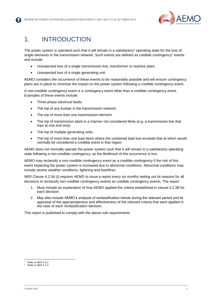

## 1. INTRODUCTION

The power system is operated such that it will remain in a satisfactory<sup>1</sup> operating state for the loss of single elements in the transmission network. Such events are defined as credible contingency<sup>2</sup> events and include:

- Unexpected loss of a single transmission line, transformer or reactive plant.
- Unexpected loss of a single generating unit.

AEMO considers the occurrence of these events to be reasonably possible and will ensure contingency plans are in place to minimise the impact on the power system following a credible contingency event.

A non-credible contingency event is a contingency event other than a credible contingency event. Examples of these events include:

- Three phase electrical faults.
- The trip of any busbar in the transmission network.
- The trip of more than one transmission element.
- The trip of transmission plant in a manner not considered likely (e.g. a transmission line that trips at one end only).
- The trip of multiple generating units.
- The trip of more than one load block where the combined load lost exceeds that at which would normally be considered a credible event in that region.

AEMO does not normally operate the power system such that it will remain in a satisfactory operating state following a non-credible contingency, as the likelihood of this occurrence is low.

AEMO may reclassify a non-credible contingency event as a credible contingency if the risk of this event impacting the power system is increased due to abnormal conditions. Abnormal conditions may include severe weather conditions, lightning and bushfires.

NER Clause 4.2.3A (i) requires AEMO to issue a report every six months setting out its reasons for all decisions to reclassify non-credible contingency events as credible contingency events. The report:

- 1. Must include an explanation of how AEMO applied the criteria established in clause 4.2.3B for each decision.
- 2. May also include AEMO's analysis of reclassification trends during the relevant period and its appraisal of the appropriateness and effectiveness of the relevant criteria that were applied in the case of each reclassification decision.

This report is published to comply with the above rule requirements.

l

Refer to NER 4.2.2

Refer to NER 4.2.3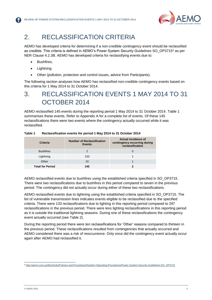

## 2. RECLASSIFICATION CRITERIA

AEMO has developed criteria for determining if a non-credible contingency event should be reclassified as credible. This criteria is defined in AEMO's Power System Security Guidelines SO\_OP3715<sup>3</sup> as per NER Clause 4.2.3B. AEMO has developed criteria for reclassifying events due to:

- Bushfires.
- Lightning.
- Other (pollution, protection and control issues, advice from Participants).

The following section analyses how AEMO has reclassified non-credible contingency events based on this criteria for 1 May 2014 to 31 October 2014.

# 3. RECLASSIFICATION EVENTS 1 MAY 2014 TO 31 OCTOBER 2014

AEMO reclassified 145 events during the reporting period 1 May 2014 to 31 October 2014. [Table 1](#page-3-0) summarises these events. Refer to [Appendix A](#page-11-0) for a complete list of events. Of these 145 reclassifications there were two events where the contingency actually occurred while it was reclassified.

| <b>Criteria</b>         | <b>Number of Reclassification</b><br><b>Events</b> | Actual incidence of<br>contingency occurring during<br>reclassification |
|-------------------------|----------------------------------------------------|-------------------------------------------------------------------------|
| <b>Bushfires</b>        |                                                    |                                                                         |
| Lightning               | 133                                                |                                                                         |
| Other                   | 10                                                 |                                                                         |
| <b>Total for Period</b> | 145                                                |                                                                         |

<span id="page-3-0"></span>**Table 1 Reclassification events for period 1 May 2014 to 31 October 2014**

AEMO reclassified events due to bushfires using the established criteria specified in SO\_OP3715. There were two reclassifications due to bushfires in this period compared to seven in the previous period. The contingency did not actually occur during either of these two reclassifications.

AEMO reclassified events due to lightning using the established criteria specified in SO\_OP3715. The list of vulnerable transmission lines indicates events eligible to be reclassified due to the specified criteria. There were 133 reclassifications due to lighting in this reporting period compared to 297 reclassifications in the previous period. There were less lighting reclassifications in this reporting period as it is outside the traditional lightning seasons. During one of these reclassifications the contingency event actually occurred (see [Table 2\)](#page-5-0).

During the reporting period there were ten reclassifications for 'Other' reasons compared to thirteen in the previous period. These reclassifications resulted from contingencies that actually occurred and AEMO considered there was a risk of reoccurrence. Only once did the contingency event actually occur again after AEMO had reclassified it.

l <sup>3</sup> [http://aemo.com.au/Electricity/Policies-and-Procedures/System-Operating-Procedures/Power-System-Security-Guidelines-SO\\_OP3715](http://aemo.com.au/Electricity/Policies-and-Procedures/System-Operating-Procedures/Power-System-Security-Guidelines-SO_OP3715)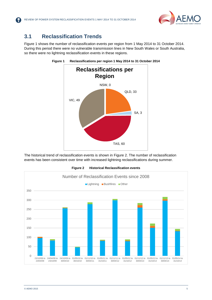

#### **3.1 Reclassification Trends**

<span id="page-4-0"></span>[Figure 1](#page-4-0) shows the number of reclassification events per region from 1 May 2014 to 31 October 2014. During this period there were no vulnerable transmission lines in New South Wales or South Australia, so there were no lightning reclassification events in these regions.





The historical trend of reclassification events is shown in [Figure 2.](#page-4-1) The number of reclassification events has been consistent over time with increased lightning reclassifications during summer.

<span id="page-4-1"></span>

**Figure 2 Historical Reclassification events**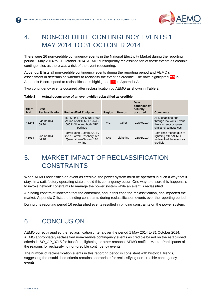

# 4. NON-CREDIBLE CONTINGENCY EVENTS 1 MAY 2014 TO 31 OCTOBER 2014

There were 26 non-credible contingency events in the National Electricity Market during the reporting period 1 May 2014 to 31 October 2014. AEMO subsequently reclassified ten of these events as credible contingencies as there was a risk of the event reoccurring.

[Appendix B](#page-12-0) lists all non-credible contingency events during the reporting period and AEMO's assessment in determining whether to reclassify the event as credible. The rows highlighted red in [Appendix B](#page-12-0) correspond to reclassifications highlighted red in [Appendix A.](#page-6-0)

Two contingency events occurred after reclassification by AEMO as shown in [Table 2.](#page-5-0)

#### <span id="page-5-0"></span>**Table 2 Actual occurrence of an event while reclassified as credible**

| <b>Start</b><br><b>MN</b> | <b>Start</b><br><b>Reclassification</b> | <b>Reclassified Equipment</b>                                                                  | <b>Region</b> | Reason    | <b>Date</b><br>contingency<br>actually<br>occurred | <b>Comments</b>                                                                                    |
|---------------------------|-----------------------------------------|------------------------------------------------------------------------------------------------|---------------|-----------|----------------------------------------------------|----------------------------------------------------------------------------------------------------|
| 45245                     | 04/03/2014<br>09:20                     | TRTS-HYTS-APD No.1 500<br>kV line or APD-MOPS No.2<br>500 kV line and both APD<br>potlines     | <b>VIC</b>    | Other     | 10/07/2014                                         | APD unable to ride<br>through low volts. Event<br>likely to reoccur given<br>similar circumstances |
| 45934                     | 26/06/2014<br>04:10                     | Farrell-John Butters 220 kV<br>line & Farrell-Rosebery Tee<br>Queenstown-Newton 110<br>kV line | <b>TAS</b>    | Lightning | 26/06/2014                                         | Both lines tripped due to<br>lightning after AEMO<br>reclassified the event as<br>credible         |

# 5. MARKET IMPACT OF RECLASSIFICATION **CONSTRAINTS**

When AEMO reclassifies an event as credible, the power system must be operated in such a way that it stays in a satisfactory operating state should this contingency occur. One way to ensure this happens is to invoke network constraints to manage the power system while an event is reclassified.

A binding constraint indicates that the constraint, and in this case the reclassification, has impacted the market. [Appendix C](#page-15-0) lists the binding constraints during reclassification events over the reporting period.

During this reporting period 16 reclassified events resulted in binding constraints on the power system.

### 6. CONCLUSION

AEMO correctly applied the reclassification criteria over the period 1 May 2014 to 31 October 2014. AEMO appropriately reclassified non-credible contingency events as credible based on the established criteria in SO\_OP\_3715 for bushfires, lightning or other reasons. AEMO notified Market Participants of the reasons for reclassifying non-credible contingency events.

The number of reclassification events in this reporting period is consistent with historical trends, suggesting the established criteria remains appropriate for reclassifying non-credible contingency events.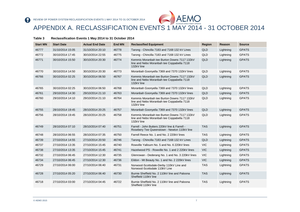

APPENDIX A. RECLASSIFICATION EVENTS 1 MAY 2014 - 31 OCTOBER 2014

#### **Table 3 Reclassification Events 1 May 2014 to 31 October 2014**

<span id="page-6-0"></span>

| <b>Start MN</b> | <b>Start Date</b> | <b>Actual End Date</b> | <b>End MN</b> | <b>Reclassified Equipment</b>                                                                           | Region     | Reason    | <b>Source</b> |
|-----------------|-------------------|------------------------|---------------|---------------------------------------------------------------------------------------------------------|------------|-----------|---------------|
| 46777           | 31/10/2014 15:05  | 31/10/2014 20:10       | 46778         | Tarong - Chincilla 7183 and 7168 132 kV Lines                                                           | <b>QLD</b> | Lightning | <b>GPATS</b>  |
| 46772           | 30/10/2014 17:45  | 30/10/2014 22:55       | 46775         | Tarong - Chincilla 7183 and 7168 132 kV Lines                                                           | QLD        | Lightning | <b>GPATS</b>  |
| 46771           | 30/10/2014 15:50  | 30/10/2014 20:30       | 46774         | Kemmis Moranbah tee Burton Downs 7117 132kV<br>line and Nebo Moranbah tee Coppabella 7118<br>132kV line | <b>QLD</b> | Lightning | <b>GPATS</b>  |
| 46770           | 30/10/2014 14:50  | 30/10/2014 20:30       | 46773         | Moranbah Goonyella 7369 and 7370 132kV lines                                                            | QLD        | Lightning | <b>GPATS</b>  |
| 46766           | 30/10/2014 02:25  | 30/10/2014 06:50       | 46767         | Kemmis Moranbah tee Burton Downs 7117 132kV<br>line and Nebo Moranbah tee Coppabella 7118<br>132kV line | <b>QLD</b> | Lightning | <b>GPATS</b>  |
| 46765           | 30/10/2014 02:25  | 30/10/2014 06:50       | 46768         | Moranbah Goonyella 7369 and 7370 132kV lines                                                            | <b>QLD</b> | Lightning | <b>GPATS</b>  |
| 46761           | 29/10/2014 14:30  | 29/10/2014 21:10       | 46763         | Moranbah Goonyella 7369 and 7370 132kV lines                                                            | <b>QLD</b> | Lightning | <b>GPATS</b>  |
| 46760           | 29/10/2014 14:10  | 29/10/2014 21:10       | 46764         | Kemmis Moranbah tee Burton Downs 7117 132kV<br>line and Nebo Moranbah tee Coppabella 7118<br>132kV line | QLD        | Lightning | <b>GPATS</b>  |
| 46755           | 28/10/2014 19:45  | 28/10/2014 20:25       | 46757         | Moranbah Goonyella 7369 and 7370 132kV lines                                                            | <b>QLD</b> | Lightning | <b>GPATS</b>  |
| 46756           | 28/10/2014 19:45  | 28/10/2014 20:25       | 46758         | Kemmis Moranbah tee Burton Downs 7117 132kV<br>line and Nebo Moranbah tee Coppabella 7118<br>132kV line | QLD        | Lightning | <b>GPATS</b>  |
| 46749           | 28/10/2014 07:10  | 28/10/2014 07:40       | 46751         | Farrell - John Butters 220kV line & Farrell -<br>Rosebery Tee Queenstown - Newton 110kV line            | <b>TAS</b> | Lightning | <b>GPATS</b>  |
| 46748           | 28/10/2014 06:55  | 28/10/2014 07:35       | 46750         | Farrell Reece No. 1 and No. 2 220kV lines                                                               | <b>TAS</b> | Lightning | <b>GPATS</b>  |
| 46739           | 27/10/2014 14:55  | 27/10/2014 20:50       | 46746         | Tarong - Chincilla 7183 and 7168 132 kV Lines                                                           | <b>QLD</b> | Lightning | <b>GPATS</b>  |
| 46737           | 27/10/2014 13:35  | 27/10/2014 15:45       | 46740         | Rowville Yallourn No. 5 and No. 6 220kV lines                                                           | <b>VIC</b> | Lightning | <b>GPATS</b>  |
| 46738           | 27/10/2014 13:35  | 27/10/2014 15:45       | 46741         | Hazelwood PS - Rowville No. 1 and 2 220kV lines                                                         | <b>VIC</b> | Lightning | <b>GPATS</b>  |
| 46732           | 27/10/2014 06:45  | 27/10/2014 12:30       | 46735         | Glenrowan - Dederang No. 1 and No. 3 220kV lines                                                        | <b>VIC</b> | Lightning | <b>GPATS</b>  |
| 46734           | 27/10/2014 06:45  | 27/10/2014 12:30       | 46736         | Eildon - Mt Beauty No. 1 and No. 2 220kV lines                                                          | <b>VIC</b> | Lightning | <b>GPATS</b>  |
| 46729           | 27/10/2014 06:00  | 27/10/2014 06:40       | 46731         | Norwood-Scottsdale-Derby 110kV Line and<br>Norwood-Scottsdale 110kV Line                                | <b>TAS</b> | Lightning | <b>GPATS</b>  |
| 46728           | 27/10/2014 05:20  | 27/10/2014 06:40       | 46730         | Burnie Sheffield No. 2 110kV line and Paloona<br>Sheffield 110kV line                                   | <b>TAS</b> | Lightning | <b>GPATS</b>  |
| 46718           | 27/10/2014 03:00  | 27/10/2014 04:45       | 46722         | Burnie Sheffield No. 2 110kV line and Paloona<br>Sheffield 110kV line                                   | <b>TAS</b> | Lightning | <b>GPATS</b>  |

R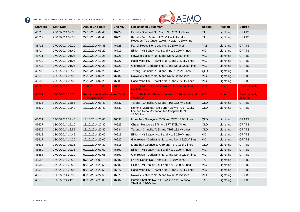

| <b>Start MN</b> | <b>Start Date</b> | <b>Actual End Date</b>                                       | <b>End MN</b> | ALL' AUSTRALIAN ENERGY MARKET OPERATO<br><b>Reclassified Equipment</b>                                  | Region     | Reason       | <b>Source</b>                     |
|-----------------|-------------------|--------------------------------------------------------------|---------------|---------------------------------------------------------------------------------------------------------|------------|--------------|-----------------------------------|
| 46716           | 27/10/2014 02:30  | 27/10/2014 04:45                                             | 46724         | Farrell - Sheffield No. 1 and No. 2 220kV lines                                                         | <b>TAS</b> | Lightning    | <b>GPATS</b>                      |
| 46717           | 27/10/2014 02:30  | 27/10/2014 04:45                                             | 46723         | Farrell - John Butters 220kV line & Farrell -<br>Rosebery Tee Queenstown - Newton 110kV line            | <b>TAS</b> | Lightning    | <b>GPATS</b>                      |
| 46715           | 27/10/2014 02:10  | 27/10/2014 04:45                                             | 46725         | Farrell Reece No. 1 and No. 2 220kV lines                                                               | <b>TAS</b> | Lightning    | <b>GPATS</b>                      |
| 46714           | 27/10/2014 01:40  | 27/10/2014 03:20                                             | 46719         | Eildon - Mt Beauty No. 1 and No. 2 220kV lines                                                          | <b>VIC</b> | Lightning    | <b>GPATS</b>                      |
| 46711           | 27/10/2014 01:05  | 27/10/2014 11:25                                             | 46726         | Rowville Yallourn No. 5 and No. 6 220kV lines                                                           | <b>VIC</b> | Lightning    | <b>GPATS</b>                      |
| 46712           | 27/10/2014 01:05  | 27/10/2014 11:25                                             | 46727         | Hazelwood PS - Rowville No. 1 and 2 220kV lines                                                         | <b>VIC</b> | Lightning    | <b>GPATS</b>                      |
| 46713           | 27/10/2014 01:05  | 27/10/2014 03:20                                             | 46720         | Glenrowan - Dederang No. 1 and No. 3 220kV lines                                                        | <b>VIC</b> | Lightning    | <b>GPATS</b>                      |
| 46709           | 26/10/2014 19:30  | 27/10/2014 02:20                                             | 46721         | Tarong - Chincilla 7183 and 7168 132 kV Lines                                                           | QLD        | Lightning    | <b>GPATS</b>                      |
| 46679           | 23/10/2014 00:00  | 23/10/2014 02:20                                             | 46682         | Rowville Yallourn No. 5 and No. 6 220kV lines                                                           | <b>VIC</b> | Lightning    | <b>GPATS</b>                      |
| 46680           | 23/10/2014 00:00  | 23/10/2014 02:20                                             | 46683         | Hazelwood PS - Rowville No. 1 and 2 220kV lines                                                         | <b>VIC</b> | Lightning    | <b>GPATS</b>                      |
| 46666           | 21/10/2014 10:30  | 23/03/2015 13:00                                             | 48593         | Trip of Eildon - Thomastown 220 kV line and Eildon<br><b>No.2 Generator</b>                             | <b>VIC</b> | <b>Other</b> | <b>Event actually</b><br>occurred |
| 46661           | 19/10/2014 23:30  | <b>Remains reclassified - see Table</b><br>4 for explanation |               | Trip of Ballarat - Elaine - Moorabool 220 kV line and<br><b>Waubra WF</b>                               | <b>VIC</b> | <b>Other</b> | <b>Event actually</b><br>occurred |
| 46635           | 13/10/2014 23:55  | 14/10/2014 03:40                                             | 46637         | Tarong - Chincilla 7183 and 7168 132 kV Lines                                                           | QLD        | Lightning    | <b>GPATS</b>                      |
| 46630           | 13/10/2014 19:40  | 13/10/2014 21:40                                             | 46632         | Kemmis Moranbah tee Burton Downs 7117 132kV<br>line and Nebo Moranbah tee Coppabella 7118<br>132kV line | QLD        | Lightning    | <b>GPATS</b>                      |
| 46631           | 13/10/2014 19:40  | 13/10/2014 21:40                                             | 46633         | Moranbah Goonyella 7369 and 7370 132kV lines                                                            | QLD        | Lightning    | <b>GPATS</b>                      |
| 46627           | 13/10/2014 15:10  | 13/10/2014 17:30                                             | 46629         | Chalumbin Woree 876 and 877 275kV lines                                                                 | QLD        | Lightning    | <b>GPATS</b>                      |
| 46625           | 13/10/2014 12:55  | 13/10/2014 22:40                                             | 46634         | Tarong - Chincilla 7183 and 7168 132 kV Lines                                                           | QLD        | Lightning    | <b>GPATS</b>                      |
| 46618           | 12/10/2014 14:45  | 12/10/2014 20:00                                             | 46619         | Eildon - Mt Beauty No. 1 and No. 2 220kV lines                                                          | <b>VIC</b> | Lightning    | <b>GPATS</b>                      |
| 46617           | 12/10/2014 14:20  | 12/10/2014 20:00                                             | 46620         | Glenrowan - Dederang No. 1 and No. 3 220kV lines                                                        | <b>VIC</b> | Lightning    | <b>GPATS</b>                      |
| 46615           | 12/10/2014 03:15  | 12/10/2014 04:30                                             | 46616         | Moranbah Goonyella 7369 and 7370 132kV lines                                                            | QLD        | Lightning    | <b>GPATS</b>                      |
| 46589           | 07/10/2014 00:35  | 07/10/2014 02:00                                             | 46590         | Eildon - Mt Beauty No. 1 and No. 2 220kV lines                                                          | <b>VIC</b> | Lightning    | <b>GPATS</b>                      |
| 46588           | 07/10/2014 00:20  | 07/10/2014 02:05                                             | 46592         | Glenrowan - Dederang No. 1 and No. 3 220kV lines                                                        | <b>VIC</b> | Lightning    | <b>GPATS</b>                      |
| 46585           | 06/10/2014 23:30  | 07/10/2014 00:15                                             | 46587         | Farrell Reece No. 1 and No. 2 220kV lines                                                               | <b>TAS</b> | Lightning    | <b>GPATS</b>                      |
| 46584           | 06/10/2014 23:20  | 06/10/2014 23:55                                             | 46586         | Eildon - Mt Beauty No. 1 and No. 2 220kV lines                                                          | <b>VIC</b> | Lightning    | <b>GPATS</b>                      |
| 46575           | 06/10/2014 22:05  | 06/10/2014 22:55                                             | 46577         | Hazelwood PS - Rowville No. 1 and 2 220kV lines                                                         | <b>VIC</b> | Lightning    | <b>GPATS</b>                      |
| 46576           | 06/10/2014 22:05  | 06/10/2014 22:55                                             | 46578         | Rowville Yallourn No. 5 and No. 6 220kV lines                                                           | <b>VIC</b> | Lightning    | <b>GPATS</b>                      |
| 46572           | 06/10/2014 21:15  | 06/10/2014 23:00                                             | 46582         | Burnie Sheffield No. 2 110kV line and Paloona<br>Sheffield 110kV line                                   | <b>TAS</b> | Lightning    | <b>GPATS</b>                      |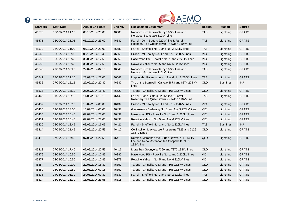

|                 |                   |                        |               | AUSTRALIAN ENERGY MARKET OPERATOR                                                                       |            |                  |               |
|-----------------|-------------------|------------------------|---------------|---------------------------------------------------------------------------------------------------------|------------|------------------|---------------|
| <b>Start MN</b> | <b>Start Date</b> | <b>Actual End Date</b> | <b>End MN</b> | <b>Reclassified Equipment</b>                                                                           | Region     | Reason           | <b>Source</b> |
| 46573           | 06/10/2014 21:15  | 06/10/2014 23:00       | 46583         | Norwood-Scottsdale-Derby 110kV Line and<br>Norwood-Scottsdale 110kV Line                                | <b>TAS</b> | Lightning        | <b>GPATS</b>  |
| 46571           | 06/10/2014 21:05  | 06/10/2014 23:00       | 46581         | Farrell - John Butters 220kV line & Farrell -<br>Rosebery Tee Queenstown - Newton 110kV line            | <b>TAS</b> | Lightning        | <b>GPATS</b>  |
| 46570           | 06/10/2014 21:00  | 06/10/2014 23:00       | 46580         | Farrell - Sheffield No. 1 and No. 2 220kV lines                                                         | <b>TAS</b> | Lightning        | <b>GPATS</b>  |
| 46568           | 05/10/2014 18:00  | 05/10/2014 19:40       | 46569         | Eildon - Mt Beauty No. 1 and No. 2 220kV lines                                                          | <b>VIC</b> | Lightning        | <b>GPATS</b>  |
| 46552           | 30/09/2014 15:45  | 30/09/2014 17:55       | 46556         | Hazelwood PS - Rowville No. 1 and 2 220kV lines                                                         | <b>VIC</b> | Lightning        | <b>GPATS</b>  |
| 46553           | 30/09/2014 15:45  | 30/09/2014 17:55       | 46557         | Rowville Yallourn No. 5 and No. 6 220kV lines                                                           | <b>VIC</b> | Lightning        | <b>GPATS</b>  |
| 46543           | 29/09/2014 00:25  | 29/09/2014 02:10       | 46545         | Norwood-Scottsdale-Derby 110kV Line and<br>Norwood-Scottsdale 110kV Line                                | <b>TAS</b> | Lightning        | <b>GPATS</b>  |
| 46541           | 28/09/2014 21:15  | 28/09/2014 22:00       | 46542         | Liapootah - Palmerston No. 1 and No. 2 220kV lines                                                      | <b>TAS</b> | Lightning        | <b>GPATS</b>  |
| 46536           | 27/09/2014 15:15  | 27/09/2014 20:30       | 46537         | Trip of the Stanwell - Calvale 8873 and 8874 275 kV<br>lines                                            | QLD        | <b>Bushfires</b> | <b>INJI</b>   |
| 46523           | 25/09/2014 13:10  | 25/09/2014 16:40       | 46529         | Tarong - Chincilla 7183 and 7168 132 kV Lines                                                           | QLD        | Lightning        | <b>GPATS</b>  |
| 46445           | 11/09/2014 12:10  | 11/09/2014 13:10       | 46446         | Farrell - John Butters 220kV line & Farrell -<br>Rosebery Tee Queenstown - Newton 110kV line            | <b>TAS</b> | Lightning        | <b>GPATS</b>  |
| 46437           | 09/09/2014 18:10  | 10/09/2014 00:00       | 46439         | Eildon - Mt Beauty No. 1 and No. 2 220kV lines                                                          | <b>VIC</b> | Lightning        | <b>GPATS</b>  |
| 46436           | 09/09/2014 18:05  | 10/09/2014 00:00       | 46438         | Glenrowan - Dederang No. 1 and No. 3 220kV lines                                                        | <b>VIC</b> | Lightning        | <b>GPATS</b>  |
| 46430           | 09/09/2014 15:40  | 09/09/2014 23:00       | 46432         | Hazelwood PS - Rowville No. 1 and 2 220kV lines                                                         | <b>VIC</b> | Lightning        | <b>GPATS</b>  |
| 46431           | 09/09/2014 15:40  | 09/09/2014 23:00       | 46433         | Rowville Yallourn No. 5 and No. 6 220kV lines                                                           | <b>VIC</b> | Lightning        | <b>GPATS</b>  |
| 46420           | 08/09/2014 13:45  | 08/09/2014 16:05       | 46421         | Farrell - Sheffield No. 1 and No. 2 220kV lines                                                         | <b>TAS</b> | <b>Bushfires</b> | <b>INJI</b>   |
| 46414           | 07/09/2014 21:45  | 07/09/2014 22:55       | 46417         | Collinsville - Mackay tee Proserpine 7125 and 7126<br>132kV Lines                                       | QLD        | Lightning        | <b>GPATS</b>  |
| 46412           | 07/09/2014 17:40  | 07/09/2014 22:55       | 46415         | Kemmis Moranbah tee Burton Downs 7117 132kV<br>line and Nebo Moranbah tee Coppabella 7118<br>132kV line | QLD        | Lightning        | <b>GPATS</b>  |
| 46413           | 07/09/2014 17:40  | 07/09/2014 22:55       | 46416         | Moranbah Goonyella 7369 and 7370 132kV lines                                                            | QLD        | Lightning        | <b>GPATS</b>  |
| 46376           | 02/09/2014 10:50  | 02/09/2014 12:45       | 46380         | Hazelwood PS - Rowville No. 1 and 2 220kV lines                                                         | <b>VIC</b> | Lightning        | <b>GPATS</b>  |
| 46377           | 02/09/2014 10:50  | 02/09/2014 12:45       | 46379         | Rowville Yallourn No. 5 and No. 6 220kV lines                                                           | <b>VIC</b> | Lightning        | <b>GPATS</b>  |
| 46354           | 27/08/2014 10:00  | 27/08/2014 16:30       | 46357         | Tarong - Chincilla 7183 and 7168 132 kV Lines                                                           | QLD        | Lightning        | <b>GPATS</b>  |
| 46350           | 26/08/2014 22:50  | 27/08/2014 01:15       | 46351         | Tarong - Chincilla 7183 and 7168 132 kV Lines                                                           | QLD        | Lightning        | <b>GPATS</b>  |
| 46338           | 24/08/2014 01:30  | 24/08/2014 02:30       | 46339         | Farrell - Sheffield No. 1 and No. 2 220kV lines                                                         | <b>TAS</b> | Lightning        | <b>GPATS</b>  |
| 46314           | 16/08/2014 21:30  | 16/08/2014 23:55       | 46315         | Tarong - Chincilla 7183 and 7168 132 kV Lines                                                           | QLD        | Lightning        | <b>GPATS</b>  |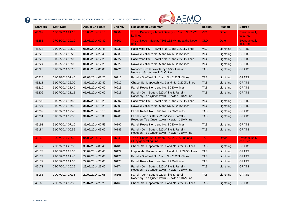

| <b>Start MN</b> | <b>Start Date</b> | <b>Actual End Date</b> | <b>End MN</b> | AUSTRALIAN ENERGT MARKET OPERATO<br><b>Reclassified Equipment</b>                            | Region     | <b>Reason</b> | <b>Source</b>                            |
|-----------------|-------------------|------------------------|---------------|----------------------------------------------------------------------------------------------|------------|---------------|------------------------------------------|
| 46292           | 13/08/2014 21:15  | 15/08/2014 17:15       | 46304         | Trip of Dederang - Mount Beauty No.1 and No.2 220<br><b>kV</b> lines                         | VIC:       | <b>Other</b>  | <b>Event actually</b><br>occurred        |
| 46253           | 07/08/2014 20:10  | 15/08/2014 09:30       | 46301         | Trip of Nebo - Mackay 7305 132 kV line at the Nebo<br>end.                                   | <b>QLD</b> | <b>Other</b>  | <b>Event actually</b><br>occurred        |
| 46228           | 01/08/2014 19:20  | 01/08/2014 20:45       | 46230         | Hazelwood PS - Rowville No. 1 and 2 220kV lines                                              | <b>VIC</b> | Lightning     | <b>GPATS</b>                             |
| 46229           | 01/08/2014 19:20  | 01/08/2014 20:45       | 46231         | Rowville Yallourn No. 5 and No. 6 220kV lines                                                | <b>VIC</b> | Lightning     | <b>GPATS</b>                             |
| 46225           | 01/08/2014 16:05  | 01/08/2014 17:25       | 46227         | Hazelwood PS - Rowville No. 1 and 2 220kV lines                                              | <b>VIC</b> | Lightning     | <b>GPATS</b>                             |
| 46224           | 01/08/2014 16:05  | 01/08/2014 17:25       | 46226         | Rowville Yallourn No. 5 and No. 6 220kV lines                                                | <b>VIC</b> | Lightning     | <b>GPATS</b>                             |
| 46220           | 01/08/2014 05:15  | 01/08/2014 06:00       | 46221         | Norwood-Scottsdale-Derby 110kV Line and<br>Norwood-Scottsdale 110kV Line                     | <b>TAS</b> | Lightning     | <b>GPATS</b>                             |
| 46214           | 01/08/2014 01:40  | 01/08/2014 02:20       | 46217         | Farrell - Sheffield No. 1 and No. 2 220kV lines                                              | <b>TAS</b> | Lightning     | <b>GPATS</b>                             |
| 46211           | 31/07/2014 22:00  | 31/07/2014 22:40       | 46212         | Chapel St - Liapootah No. 1 and No. 2 220kV lines                                            | <b>TAS</b> | Lightning     | <b>GPATS</b>                             |
| 46210           | 31/07/2014 21:40  | 01/08/2014 02:00       | 46215         | Farrell Reece No. 1 and No. 2 220kV lines                                                    | <b>TAS</b> | Lightning     | <b>GPATS</b>                             |
| 46209           | 31/07/2014 21:15  | 01/08/2014 02:00       | 46216         | Farrell - John Butters 220kV line & Farrell -<br>Rosebery Tee Queenstown - Newton 110kV line | <b>TAS</b> | Lightning     | <b>GPATS</b>                             |
| 46203           | 31/07/2014 17:55  | 31/07/2014 19:25       | 46207         | Hazelwood PS - Rowville No. 1 and 2 220kV lines                                              | <b>VIC</b> | Lightning     | <b>GPATS</b>                             |
| 46204           | 31/07/2014 17:55  | 31/07/2014 19:25       | 46208         | Rowville Yallourn No. 5 and No. 6 220kV lines                                                | <b>VIC</b> | Lightning     | <b>GPATS</b>                             |
| 46202           | 31/07/2014 17:45  | 31/07/2014 18:15       | 46205         | Farrell Reece No. 1 and No. 2 220kV lines                                                    | <b>TAS</b> | Lightning     | <b>GPATS</b>                             |
| 46201           | 31/07/2014 17:35  | 31/07/2014 18:35       | 46206         | Farrell - John Butters 220kV line & Farrell -<br>Rosebery Tee Queenstown - Newton 110kV line | <b>TAS</b> | Lightning     | <b>GPATS</b>                             |
| 46191           | 31/07/2014 07:10  | 31/07/2014 07:55       | 46192         | Farrell Reece No. 1 and No. 2 220kV lines                                                    | <b>TAS</b> | Lightning     | <b>GPATS</b>                             |
| 46184           | 31/07/2014 00:55  | 31/07/2014 05:00       | 46189         | Farrell - John Butters 220kV line & Farrell -<br>Rosebery Tee Queenstown - Newton 110kV line | <b>TAS</b> | Lightning     | <b>GPATS</b>                             |
| 46183           | 30/07/2014 22:30  | 04/08/2014 17:10       | 46240         | Trip of Chapel St - Gordon No.2 220 kV line and<br><b>Cluny generating unit</b>              | <b>TAS</b> | <b>Other</b>  | <b>Event actually</b><br><b>occurred</b> |
| 46177           | 29/07/2014 23:30  | 30/07/2014 00:40       | 46180         | Chapel St - Liapootah No. 1 and No. 2 220kV lines                                            | <b>TAS</b> | Lightning     | <b>GPATS</b>                             |
| 46178           | 29/07/2014 23:30  | 30/07/2014 00:40       | 46179         | Liapootah - Palmerston No. 1 and No. 2 220kV lines                                           | <b>TAS</b> | Lightning     | <b>GPATS</b>                             |
| 46173           | 29/07/2014 21:45  | 29/07/2014 23:00       | 46176         | Farrell - Sheffield No. 1 and No. 2 220kV lines                                              | <b>TAS</b> | Lightning     | <b>GPATS</b>                             |
| 46172           | 29/07/2014 21:30  | 29/07/2014 23:00       | 46175         | Farrell Reece No. 1 and No. 2 220kV lines                                                    | <b>TAS</b> | Lightning     | <b>GPATS</b>                             |
| 46171           | 29/07/2014 20:25  | 29/07/2014 23:00       | 46174         | Farrell - John Butters 220kV line & Farrell -<br>Rosebery Tee Queenstown - Newton 110kV line | <b>TAS</b> | Lightning     | <b>GPATS</b>                             |
| 46166           | 29/07/2014 17:35  | 29/07/2014 19:05       | 46168         | Farrell - John Butters 220kV line & Farrell -<br>Rosebery Tee Queenstown - Newton 110kV line | <b>TAS</b> | Lightning     | <b>GPATS</b>                             |
| 46165           | 29/07/2014 17:30  | 29/07/2014 20:25       | 46169         | Chapel St - Liapootah No. 1 and No. 2 220kV lines                                            | <b>TAS</b> | Lightning     | <b>GPATS</b>                             |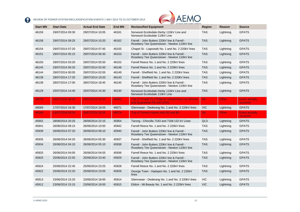

| <b>Start MN</b> | <b>Start Date</b> | <b>Actual End Date</b> | <b>End MN</b> | AUSTRALIAN ENERGY MARKET OPERATOR<br><b>Reclassified Equipment</b>                           | <b>Region</b> | Reason       | <b>Source</b>                     |
|-----------------|-------------------|------------------------|---------------|----------------------------------------------------------------------------------------------|---------------|--------------|-----------------------------------|
| 46159           | 29/07/2014 09:30  | 29/07/2014 10:05       | 46161         | Norwood-Scottsdale-Derby 110kV Line and<br>Norwood-Scottsdale 110kV Line                     | <b>TAS</b>    | Lightning    | <b>GPATS</b>                      |
| 46158           | 29/07/2014 09:25  | 29/07/2014 10:20       | 46162         | Farrell - John Butters 220kV line & Farrell -<br>Rosebery Tee Queenstown - Newton 110kV line | <b>TAS</b>    | Lightning    | <b>GPATS</b>                      |
| 46154           | 29/07/2014 07:20  | 29/07/2014 07:45       | 46155         | Chapel St - Liapootah No. 1 and No. 2 220kV lines                                            | <b>TAS</b>    | Lightning    | <b>GPATS</b>                      |
| 46151           | 29/07/2014 05:15  | 29/07/2014 06:30       | 46153         | Farrell - John Butters 220kV line & Farrell -<br>Rosebery Tee Queenstown - Newton 110kV line | <b>TAS</b>    | Lightning    | <b>GPATS</b>                      |
| 46150           | 29/07/2014 03:20  | 29/07/2014 05:50       | 46152         | Farrell Reece No. 1 and No. 2 220kV lines                                                    | <b>TAS</b>    | Lightning    | <b>GPATS</b>                      |
| 46145           | 29/07/2014 00:20  | 29/07/2014 02:00       | 46148         | Farrell Reece No. 1 and No. 2 220kV lines                                                    | <b>TAS</b>    | Lightning    | <b>GPATS</b>                      |
| 46144           | 29/07/2014 00:05  | 29/07/2014 02:05       | 46149         | Farrell - Sheffield No. 1 and No. 2 220kV lines                                              | <b>TAS</b>    | Lightning    | <b>GPATS</b>                      |
| 46139           | 28/07/2014 17:20  | 28/07/2014 19:20       | 46143         | Farrell - Sheffield No. 1 and No. 2 220kV lines                                              | <b>TAS</b>    | Lightning    | <b>GPATS</b>                      |
| 46138           | 28/07/2014 17:00  | 28/07/2014 18:45       | 46140         | Farrell - John Butters 220kV line & Farrell -<br>Rosebery Tee Queenstown - Newton 110kV line | <b>TAS</b>    | Lightning    | <b>GPATS</b>                      |
| 46129           | 25/07/2014 14:40  | 25/07/2014 15:30       | 46130         | Norwood-Scottsdale-Derby 110kV Line and<br>Norwood-Scottsdale 110kV Line                     | <b>TAS</b>    | Lightning    | <b>GPATS</b>                      |
| 46076           | 18/07/2014 18:30  | 18/07/2014 22:15       | 46081         | Trip of T4 and T5 275/66 kV transformers at LeFevre<br>and Quarantine PS unit GTA5           | <b>SA</b>     | <b>Other</b> | <b>Event actually</b><br>occurred |
| 46069           | 17/07/2014 16:30  | 17/07/2014 18:05       | 46071         | Glenrowan - Dederang No. 1 and No. 3 220kV lines                                             | <b>VIC</b>    | Lightning    | <b>GPATS</b>                      |
| 46048           | 15/07/2014 00:50  | 18/07/2014 16:55       | 46074         | Trip of Torrens Island units B3 and B4                                                       | <b>SA</b>     | Other        | <b>Event actually</b><br>occurred |
| 45952           | 28/06/2014 20:25  | 28/06/2014 22:15       | 45954         | Tarong - Chincilla 7183 and 7168 132 kV Lines                                                | QLD           | Lightning    | <b>GPATS</b>                      |
| 45941           | 26/06/2014 09:15  | 26/06/2014 10:00       | 45942         | Farrell Reece No. 1 and No. 2 220kV lines                                                    | <b>TAS</b>    | Lightning    | <b>GPATS</b>                      |
| 45939           | 26/06/2014 07:20  | 26/06/2014 08:10       | 45940         | Farrell - John Butters 220kV line & Farrell -<br>Rosebery Tee Queenstown - Newton 110kV line | <b>TAS</b>    | Lightning    | <b>GPATS</b>                      |
| 45935           | 26/06/2014 04:20  | 26/06/2014 05:30       | 45937         | Farrell - Sheffield No. 1 and No. 2 220kV lines                                              | <b>TAS</b>    | Lightning    | <b>GPATS</b>                      |
| 45934           | 26/06/2014 04:10  | 26/06/2014 05:10       | 45938         | Farrell - John Butters 220kV line & Farrell -<br>Rosebery Tee Queenstown - Newton 110kV line | <b>TAS</b>    | Lightning    | <b>GPATS</b>                      |
| 45933           | 26/06/2014 04:00  | 26/06/2014 04:55       | 45936         | Farrell Reece No. 1 and No. 2 220kV lines                                                    | <b>TAS</b>    | Lightning    | <b>GPATS</b>                      |
| 45925           | 25/06/2014 22:55  | 25/06/2014 23:40       | 45929         | Farrell - John Butters 220kV line & Farrell -<br>Rosebery Tee Queenstown - Newton 110kV line | <b>TAS</b>    | Lightning    | <b>GPATS</b>                      |
| 45924           | 25/06/2014 22:45  | 25/06/2014 23:25       | 45928         | Farrell Reece No. 1 and No. 2 220kV lines                                                    | <b>TAS</b>    | Lightning    | <b>GPATS</b>                      |
|                 |                   |                        |               |                                                                                              |               |              |                                   |
| 45922           | 25/06/2014 22:20  | 25/06/2014 23:05       | 45926         | George Town - Hadspen No. 1 and No. 2 220kV<br>lines                                         | <b>TAS</b>    | Lightning    | <b>GPATS</b>                      |
| 45913           | 23/06/2014 15:20  | 23/06/2014 18:00       | 45914         | Glenrowan - Dederang No. 1 and No. 3 220kV lines                                             | <b>VIC</b>    | Lightning    | <b>GPATS</b>                      |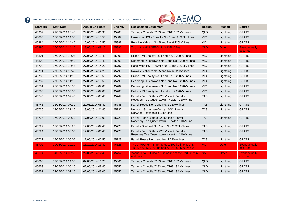

<span id="page-11-0"></span>

| <b>Start MN</b> | <b>Start Date</b> | <b>Actual End Date</b> | <b>End MN</b> | <b>WALK AUSTRALIAN ENERGY MARKET OPERATOR</b><br><b>Reclassified Equipment</b>                 | <b>Region</b> | <b>Reason</b> | <b>Source</b>                     |
|-----------------|-------------------|------------------------|---------------|------------------------------------------------------------------------------------------------|---------------|---------------|-----------------------------------|
| 45907           | 21/06/2014 23:45  | 24/06/2014 01:30       | 45908         | Tarong - Chincilla 7183 and 7168 132 kV Lines                                                  | <b>QLD</b>    | Lightning     | <b>GPATS</b>                      |
| 45885           | 16/06/2014 14:55  | 16/06/2014 15:50       | 45889         | Hazelwood PS - Rowville No. 1 and 2 220kV lines                                                | <b>VIC</b>    | Lightning     | <b>GPATS</b>                      |
| 45884           | 16/06/2014 14:45  | 16/06/2014 15:50       | 45888         | Rowville Yallourn No. 5 and No. 6 220kV lines                                                  | <b>VIC</b>    | Lightning     | <b>GPATS</b>                      |
| 45890           | 16/06/2014 14:10  | 18/06/2014 09:15       | 45896         | Trip of the H11 NEBO No 3 132kV Bus                                                            | QLD           | Other         | <b>Event actually</b><br>occurred |
| 45801           | 27/05/2014 18:05  | 27/05/2014 19:40       | 45803         | Eildon - Mt Beauty No. 1 and No. 2 220kV lines                                                 | <b>VIC</b>    | Lightning     | <b>GPATS</b>                      |
| 45800           | 27/05/2014 17:40  | 27/05/2014 19:40       | 45802         | Dederang - Glenrowan No.1 and No.3 220kV lines                                                 | <b>VIC</b>    | Lightning     | <b>GPATS</b>                      |
| 45790           | 27/05/2014 13:45  | 27/05/2014 14:20       | 45797         | Hazelwood PS - Rowville No. 1 and 2 220kV lines                                                | <b>VIC</b>    | Lightning     | <b>GPATS</b>                      |
| 45791           | 27/05/2014 13:45  | 27/05/2014 14:20       | 45795         | Rowville Yallourn No. 5 and No. 6 220kV lines                                                  | <b>VIC</b>    | Lightning     | <b>GPATS</b>                      |
| 45786           | 27/05/2014 11:10  | 27/05/2014 13:50       | 45792         | Eildon - Mt Beauty No. 1 and No. 2 220kV lines                                                 | <b>VIC</b>    | Lightning     | <b>GPATS</b>                      |
| 45787           | 27/05/2014 11:10  | 27/05/2014 13:50       | 45793         | Dederang - Glenrowan No.1 and No.3 220kV lines                                                 | <b>VIC</b>    | Lightning     | <b>GPATS</b>                      |
| 45781           | 27/05/2014 06:30  | 27/05/2014 09:05       | 45782         | Dederang - Glenrowan No.1 and No.3 220kV lines                                                 | <b>VIC</b>    | Lightning     | <b>GPATS</b>                      |
| 45780           | 27/05/2014 05:30  | 27/05/2014 09:05       | 45783         | Eildon - Mt Beauty No. 1 and No. 2 220kV lines                                                 | <b>VIC</b>    | Lightning     | <b>GPATS</b>                      |
| 45745           | 22/05/2014 07:40  | 22/05/2014 08:40       | 45747         | Farrell - John Butters 220kV line & Farrell -<br>Rosebery Tee Queenstown - Newton 110kV line   | <b>TAS</b>    | Lightning     | <b>GPATS</b>                      |
| 45743           | 22/05/2014 07:30  | 22/05/2014 08:40       | 45746         | Farrell Reece No. 1 and No. 2 220kV lines                                                      | <b>TAS</b>    | Lightning     | <b>GPATS</b>                      |
| 45736           | 19/05/2014 21:15  | 19/05/2014 21:45       | 45737         | Norwood-Scottsdale-Derby 110kV Line and<br>Norwood-Scottsdale 110kV Line                       | <b>TAS</b>    | Lightning     | <b>GPATS</b>                      |
| 45726           | 17/05/2014 08:20  | 17/05/2014 10:00       | 45729         | Farrell - John Butters 220kV line & Farrell -<br>Rosebery Tee Queenstown - Newton 110kV line   | <b>TAS</b>    | Lightning     | <b>GPATS</b>                      |
| 45727           | 17/05/2014 08:20  | 17/05/2014 09:40       | 45728         | Farrell - Sheffield No. 1 and No. 2 220kV lines                                                | <b>TAS</b>    | Lightning     | <b>GPATS</b>                      |
| 45724           | 17/05/2014 06:05  | 17/05/2014 06:40       | 45725         | Farrell - John Butters 220kV line & Farrell -<br>Rosebery Tee Queenstown - Newton 110kV line   | <b>TAS</b>    | Lightning     | <b>GPATS</b>                      |
| 45722           | 17/05/2014 00:05  | 17/05/2014 00:55       | 45723         | Farrell Reece No. 1 and No. 2 220kV lines                                                      | <b>TAS</b>    | Lightning     | <b>GPATS</b>                      |
| 45702           | 09/05/2014 19:10  | 13/10/2014 13:30       | 46626         | Trip of APD-HYTS-TRTS No.1 500 kV line, MLTS-<br>TRTS No.1 500 kV line and APD No.3 500 kV bus | <b>VIC</b>    | Other         | <b>Event actually</b><br>occurred |
| 45674           | 04/05/2014 05:50  | 22/05/2014 17:40       | 45757         | Yadnarie to Pt Lincoln 132 kV line at the Port Lincoln<br>end only.                            | <b>SA</b>     | Other         | <b>Event actually</b><br>occurred |
| 45660           | 02/05/2014 14:35  | 02/05/2014 16:25       | 45661         | Tarong - Chincilla 7183 and 7168 132 kV Lines                                                  | <b>QLD</b>    | Lightning     | <b>GPATS</b>                      |
| 45653           | 02/05/2014 05:10  | 02/05/2014 08:40       | 45657         | Tarong - Chincilla 7183 and 7168 132 kV Lines                                                  | QLD           | Lightning     | <b>GPATS</b>                      |
| 45651           | 02/05/2014 02:15  | 02/05/2014 03:00       | 45652         | Tarong - Chincilla 7183 and 7168 132 kV Lines                                                  | <b>QLD</b>    | Lightning     | <b>GPATS</b>                      |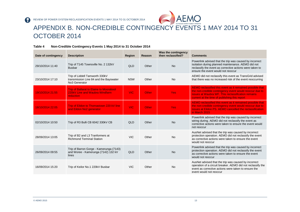

# APPENDIX B. NON-CREDIBLE CONTINGENCY EVENTS 1 MAY 2014 TO 31 OCTOBER 2014

#### **Table 4 Non-Credible Contingency Events 1 May 2014 to 31 October 2014**

<span id="page-12-0"></span>

| Date of contingency | <b>Description</b>                                                                                    | Region     | Reason | Was the contingency<br>then reclassified? | <b>Comments</b>                                                                                                                                                                                                             |
|---------------------|-------------------------------------------------------------------------------------------------------|------------|--------|-------------------------------------------|-----------------------------------------------------------------------------------------------------------------------------------------------------------------------------------------------------------------------------|
| 29/10/2014 11:40    | Trip of T145 Townsville No. 2 132kV<br><b>Busbar</b>                                                  | QLD        | Other  | <b>No</b>                                 | Powerlink advised that the trip was caused by incorrect<br>isolation during planned maintenance. AEMO did not<br>reclassify the event as corrective actions were taken to<br>ensure the event would not reoccur             |
| 23/10/2014 17:10    | Trip of Liddell Tamworth 330kV<br>transmission Line 84 and the Bayswater<br>No <sub>3</sub> Generator | <b>NSW</b> | Other  | <b>No</b>                                 | AEMO did not reclassify this event as TransGrid advised<br>that there was no increased risk of the event reoccurring                                                                                                        |
| 19/10/2014 21:55    | <b>Trip of Ballarat to Elaine to Moorabool</b><br>220kV Line and Waubra Windfarm<br><b>reduction</b>  | <b>VIC</b> | Other  | <b>Yes</b>                                | AEMO reclassified this event as it remained possible that<br>the non-credible contingency event would reoccur due to<br>issues at Waubra WF. This reclassification remains<br>current at the time of publishing this report |
| 18/10/2014 22:05    | Trip of Eildon to Thomastown 220 kV line<br>and Eildon No <sub>2</sub> generator                      | <b>VIC</b> | Other  | <b>Yes</b>                                | AEMO reclassified this event as it remained possible that<br>the non-credible contingency event would reoccur due to<br>issues at Eildon PS. AEMO cancelled the reclassification<br>in March 2015                           |
| 02/10/2014 10:50    | Trip of R3 Bulli CB 6042 330kV CB                                                                     | QLD        | Other  | <b>No</b>                                 | Powerlink advised that the trip was caused by incorrect<br>wiring during. AEMO did not reclassify the event as<br>corrective actions were taken to ensure the event would<br>not reoccur                                    |
| 28/09/2014 13:05    | Trip of B2 and L3 Tranformers at<br><b>Richmond Terminal Station</b>                                  | <b>VIC</b> | Other  | <b>No</b>                                 | AusNet advised that the trip was caused by incorrect<br>protection operation. AEMO did not reclassify the event<br>as corrective actions were taken to ensure the event<br>would not reoccur                                |
| 26/09/2014 09:55    | Trip of Barron Gorge - Kamerunga (7143)<br>and Woree - Kamerunga (7142) 132 kV<br>lines               | QLD        | Other  | <b>No</b>                                 | Powerlink advised that the trip was caused by incorrect<br>protection operation. AEMO did not reclassify the event<br>as corrective actions were taken to ensure the event<br>would not reoccur                             |
| 16/09/2014 15:20    | Trip of Keilor No.1 220kV Busbar                                                                      | <b>VIC</b> | Other  | <b>No</b>                                 | AusNet advised that the trip was caused by incorrect<br>operation of a circuit breaker. AEMO did not reclassify the<br>event as corrective actions were taken to ensure the<br>event would not reoccur                      |

2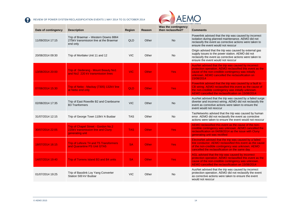

| Date of contingency | <b>Description</b>                                                                          | Region     | Reason       | Was the contingency<br>then reclassified? | <b>Comments</b>                                                                                                                                                                                                                           |
|---------------------|---------------------------------------------------------------------------------------------|------------|--------------|-------------------------------------------|-------------------------------------------------------------------------------------------------------------------------------------------------------------------------------------------------------------------------------------------|
| 11/09/2014 17:15    | Trip of Braemar - Western Downs 8864<br>275kV transmission line at the Braemar<br>end only  | QLD        | Other        | <b>No</b>                                 | Powerlink advised that the trip was caused by incorrect<br>isolation during planned maintenance. AEMO did not<br>reclassify the event as corrective actions were taken to<br>ensure the event would not reoccur                           |
| 20/08/2014 09:30    | Trip of Mortlake Unit 11 and 12                                                             | <b>VIC</b> | Other        | <b>No</b>                                 | Origin advised that the trip was caused by external gas<br>supply issues to the power station. AEMO did not<br>reclassify the event as corrective actions were taken to<br>ensure the event would not reoccur                             |
| 13/08/2014 20:00    | <b>Trip of Dederang - Mount Beauty No1</b><br>and No <sub>2</sub> 220 kV transmission lines | <b>VIC</b> | Other        | Yes                                       | AusNet advised that the trip was caused by incorrect<br>protection operation. AEMO reclassified this event as the<br>cause of the non-credible contingency was initially<br>unknown. AEMO cancelled the reclassification on<br>15/08/2014 |
| 07/08/2014 15:30    | Trip of Nebo - Mackay (7305) 132kV line<br>at Nebo end only                                 | QLD        | <b>Other</b> | Yes:                                      | Powerlink advised that the trip was caused by a fault to<br>CB wiring. AEMO reclassified this event as the cause of<br>the non-credible contingency was initially unknown.<br>AEMO cancelled the reclassification on 15/08/2014           |
| 02/08/2014 17:35    | Trip of East Rowville B2 and Cranbourne<br><b>B3 Tranformers</b>                            | <b>VIC</b> | Other        | <b>No</b>                                 | AusNet advised that the trip was caused by a failed surge<br>diverter and incorrect wiring. AEMO did not reclassify the<br>event as corrective actions were taken to ensure the<br>event would not reoccur                                |
| 31/07/2014 12:15    | Trip of George Town 110kV A Busbar                                                          | <b>TAS</b> | Other        | <b>No</b>                                 | TasNetworks advised that the trip was caused by human<br>error. AEMO did not reclassify the event as corrective<br>actions were taken to ensure the event would not reoccur                                                               |
| 30/07/2014 22:05    | Trip of Chapel Street - Gordon No.2<br>220kV transmission line and Cluny<br>generating unit | <b>TAS</b> | <b>Other</b> | Yes:                                      | AEMO reclassified this event as the cause of the non-<br>credible contingency was unknown. AEMO cancelled the<br>reclassification on 04/08/2014 as the issue with Cluny<br>generating unit was rectified                                  |
| 18/07/2014 16:15    | <b>Trip of Lefevre T4 and T5 Transformers</b><br>and Quarantine PS Unit GTA5                | <b>SA</b>  | Other        | Yes:                                      | ElectraNet advised that the trip was caused by a failed<br>line conductor. AEMO reclassified this event as the cause<br>of the non-credible contingency was unknown. AEMO<br>cancelled the reclassification on the same day               |
| 14/07/2014 19:40    | <b>Trip of Torrens Island B3 and B4 units</b>                                               | <b>SA</b>  | Other        | Yes:                                      | AGL advised that the trip was caused by incorrect<br>protection operation. AEMO reclassified this event as the<br>cause of the non-credible contingency was unknown.<br>AEMO cancelled the reclassification on 15/08/2014                 |
| 01/07/2014 19:25    | Trip of Basslink Loy Yang Converter<br>Station 500 kV Busbar                                | <b>VIC</b> | Other        | No                                        | AusNet advised that the trip was caused by incorrect<br>protection operation. AEMO did not reclassify the event<br>as corrective actions were taken to ensure the event<br>would not reoccur                                              |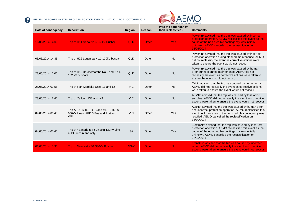

| Date of contingency | <b>Description</b>                                                            | <b>Region</b> | Reason       | Was the contingency<br>then reclassified? | <b>Comments</b>                                                                                                                                                                                                                                      |
|---------------------|-------------------------------------------------------------------------------|---------------|--------------|-------------------------------------------|------------------------------------------------------------------------------------------------------------------------------------------------------------------------------------------------------------------------------------------------------|
| 16/06/2014 14:00    | Trip of H11 Nebo No 3 132kV Busbar                                            | <b>QLD</b>    | <b>Other</b> | <b>Yes</b>                                | Powerlink advised that the trip was caused by incorrect<br>protection operation. AEMO reclassified this event as the<br>cause of the non-credible contingency was initially<br>unknown. AEMO cancelled the reclassification on<br>18/06/2014         |
| 05/06/2014 14:35    | Trip of H22 Loganlea No.1 110kV busbar                                        | QLD           | Other        | <b>No</b>                                 | Powerlink advised that the trip was caused by incorrect<br>protection operation during planned maintenance. AEMO<br>did not reclassify the event as corrective actions were<br>taken to ensure the event would not reoccur                           |
| 28/05/2014 17:00    | Trip of H10 Bouldercombe No 2 and No 4<br>132 kV Busbars                      | QLD           | Other        | <b>No</b>                                 | Powerlink advised that the trip was caused by human<br>error during planned maintenance. AEMO did not<br>reclassify the event as corrective actions were taken to<br>ensure the event would not reoccur                                              |
| 28/05/2014 09:55    | Trip of both Mortlake Units 11 and 12                                         | <b>VIC</b>    | Other        | <b>No</b>                                 | Origin advised that the trip was caused by human error.<br>AEMO did not reclassify the event as corrective actions<br>were taken to ensure the event would not reoccur                                                                               |
| 23/05/2014 12:40    | Trip of Yallourn W3 and W4                                                    | <b>VIC</b>    | Other        | <b>No</b>                                 | AusNet advised that the trip was caused by loss of DC<br>supplies. AEMO did not reclassify the event as corrective<br>actions were taken to ensure the event would not reoccur                                                                       |
| 09/05/2014 06:45    | Trip APD-HYTS-TRTS and MLTS-TRTS<br>500kV Lines. APD 3 Bus and Portland<br>WF | <b>VIC</b>    | Other        | Yes                                       | AusNet advised that the trip was caused by human error<br>and incorrect protection operation. AEMO reclassified this<br>event until the cause of the non-credible contingency was<br>rectified. AEMO cancelled the reclassification on<br>13/10/2014 |
| 04/05/2014 05:40    | Trip of Yadnarie to Pt Lincoln 132Kv Line<br>at Pt Lincoln end only           | <b>SA</b>     | Other        | Yes                                       | ElectraNet advised that the trip was caused by incorrect<br>protection operation. AEMO reclassified this event as the<br>cause of the non-credible contingency was initially<br>unknown. AEMO cancelled the reclassification on<br>22/05/2014        |
| 01/05/2014 15:30    | Trip of Newcastle B1 330kV Busbar                                             | <b>NSW</b>    | Other        | <b>No</b>                                 | <b>TransGrid advised that the trip was caused by incorrect</b><br>wiring. AEMO did not reclassify the event as corrective<br>actions were taken to ensure the event would not reoccur                                                                |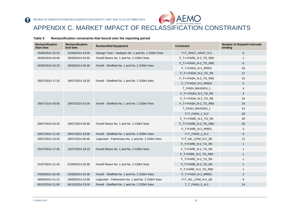

### APPENDIX C. MARKET IMPACT OF RECLASSIFICATION CONSTRAINTS

#### **Table 5 Reclassification constraints that bound over the reporting period**

<span id="page-15-0"></span>

| <b>Reclassification</b><br><b>Start time</b> | <b>Reclassification</b><br><b>End time</b> | <b>Reclassified Equipment</b>                      | <b>Constraint</b>    | <b>Number of Dispatch Intervals</b><br>binding |
|----------------------------------------------|--------------------------------------------|----------------------------------------------------|----------------------|------------------------------------------------|
| 25/06/2014 22:20                             | 25/06/2014 23:05                           | George Town - Hadspen No. 1 and No. 2 220kV lines  | T>T_SHGT_HAGT_N-2    | 9                                              |
| 26/06/2014 04:00                             | 26/06/2014 04:55                           | Farrell Reece No. 1 and No. 2 220kV lines          | F T++FARE N-2 TG R60 | $\mathbf{1}$                                   |
| 26/06/2014 04:20                             | 26/06/2014 05:30                           | Farrell - Sheffield No. 1 and No. 2 220kV lines    | F_T++FASH_N-2_TG_R60 | 6                                              |
|                                              |                                            |                                                    | F_T+FASH_N-2_RREG    | 16                                             |
|                                              |                                            |                                                    | F_T++FASH_N-2_TG_R6  | 17                                             |
| 28/07/2014 17:20                             | 28/07/2014 19:20                           | Farrell - Sheffield No. 1 and No. 2 220kV lines    | F_T++FASH_N-2_TG_R60 | 15                                             |
|                                              |                                            |                                                    | F_T+FASH_N-2_RREG    | 2                                              |
|                                              |                                            |                                                    | T_FASH_MAXGEN_1      | $\overline{4}$                                 |
|                                              |                                            |                                                    | F_T++FASH_N-2_TG_R5  | 3                                              |
| 29/07/2014 00:05                             | 29/07/2014 02:05                           |                                                    | F_T++FASH_N-2_TG_R6  | 24                                             |
|                                              |                                            | Farrell - Sheffield No. 1 and No. 2 220kV lines    | F_T++FASH_N-2_TG_R60 | 24                                             |
|                                              |                                            |                                                    | T FASH MAXGEN 1      | 14                                             |
|                                              |                                            |                                                    | T>T_FASH_1_N-2       | 20                                             |
|                                              |                                            |                                                    | F_T++FARE_N-2_TG_R6  | 30                                             |
| 29/07/2014 03:20                             | 29/07/2014 05:50                           | Farrell Reece No. 1 and No. 2 220kV lines          | F_T++FARE_N-2_TG_R60 | 30                                             |
|                                              |                                            |                                                    | F_T+FARE_N-2_RREG    | 3                                              |
| 29/07/2014 21:45                             | 29/07/2014 23:00                           | Farrell - Sheffield No. 1 and No. 2 220kV lines    | T>T FASH 1 N-2       | 6                                              |
| 29/07/2014 23:30                             | 30/07/2014 00:40                           | Liapootah - Palmerston No. 1 and No. 2 220kV lines | T>T_NIL_LIPM_N-2_2B  | 11                                             |
|                                              |                                            |                                                    | F_T+FARE_N-2_TG_R5   | $\mathbf{1}$                                   |
| 31/07/2014 17:45                             | 31/07/2014 18:15                           | Farrell Reece No. 1 and No. 2 220kV lines          | F_T+FARE_N-2_TG_R6   | $\mathbf{1}$                                   |
|                                              |                                            |                                                    | F_T+FARE_N-2_TG_R60  | $\mathbf{1}$                                   |
|                                              |                                            |                                                    | F T+FARE N-2 TG R5   | $\mathbf{1}$                                   |
| 31/07/2014 21:40                             | 01/08/2014 02:00                           | Farrell Reece No. 1 and No. 2 220kV lines          | F_T+FARE_N-2_TG_R6   | $\mathbf{1}$                                   |
|                                              |                                            |                                                    | F_T+FARE_N-2_TG_R60  | $\mathbf{1}$                                   |
| 24/08/2014 01:30                             | 24/08/2014 02:30                           | Farrell - Sheffield No. 1 and No. 2 220kV lines    | F_T+FASH_N-2_RREG    | 2                                              |
| 28/09/2014 21:15                             | 28/09/2014 22:00                           | Liapootah - Palmerston No. 1 and No. 2 220kV lines | T>T_NIL_LIPM_N-2_2B  | 9                                              |
| 06/10/2014 21:00                             | 06/10/2014 23:00                           | Farrell - Sheffield No. 1 and No. 2 220kV lines    | T_T_FASH_5_N-2       | 24                                             |

R